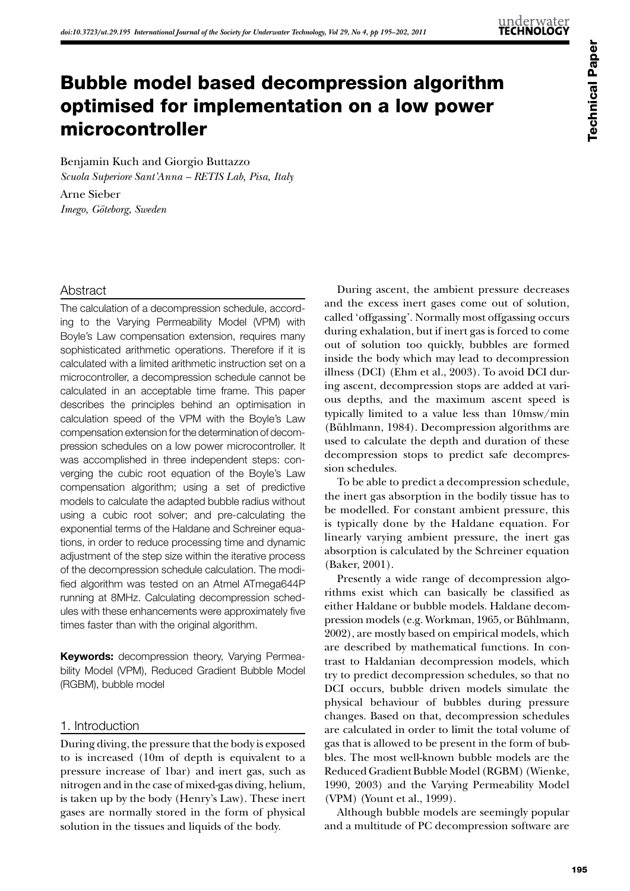# Bubble model based decompression algorithm optimised for implementation on a low power microcontroller

Benjamin Kuch and Giorgio Buttazzo *Scuola Superiore Sant'Anna – RETIS Lab, Pisa, Italy*

Arne Sieber *Imego, Göteborg, Sweden*

# Abstract

The calculation of a decompression schedule, according to the Varying Permeability Model (VPM) with Boyle's Law compensation extension, requires many sophisticated arithmetic operations. Therefore if it is calculated with a limited arithmetic instruction set on a microcontroller, a decompression schedule cannot be calculated in an acceptable time frame. This paper describes the principles behind an optimisation in calculation speed of the VPM with the Boyle's Law compensation extension for the determination of decompression schedules on a low power microcontroller. It was accomplished in three independent steps: converging the cubic root equation of the Boyle's Law compensation algorithm; using a set of predictive models to calculate the adapted bubble radius without using a cubic root solver; and pre-calculating the exponential terms of the Haldane and Schreiner equations, in order to reduce processing time and dynamic adjustment of the step size within the iterative process of the decompression schedule calculation. The modified algorithm was tested on an Atmel ATmega644P running at 8MHz. Calculating decompression schedules with these enhancements were approximately five times faster than with the original algorithm.

**Keywords:** decompression theory, Varying Permeability Model (VPM), Reduced Gradient Bubble Model (RGBM), bubble model

# 1. Introduction

During diving, the pressure that the body is exposed to is increased (10m of depth is equivalent to a pressure increase of 1bar) and inert gas, such as nitrogen and in the case of mixed-gas diving, helium, is taken up by the body (Henry's Law). These inert gases are normally stored in the form of physical solution in the tissues and liquids of the body.

During ascent, the ambient pressure decreases and the excess inert gases come out of solution, called 'offgassing'. Normally most offgassing occurs during exhalation, but if inert gas is forced to come out of solution too quickly, bubbles are formed inside the body which may lead to decompression illness (DCI) ([Ehm et al., 2003](#page-7-0)). To avoid DCI during ascent, decompression stops are added at various depths, and the maximum ascent speed is typically limited to a value less than 10msw/min [\(Bühlmann, 1984\)](#page-7-1). Decompression algorithms are used to calculate the depth and duration of these decompression stops to predict safe decompression schedules.

To be able to predict a decompression schedule, the inert gas absorption in the bodily tissue has to be modelled. For constant ambient pressure, this is typically done by the Haldane equation. For linearly varying ambient pressure, the inert gas absorption is calculated by the Schreiner equation [\(Baker, 2001\)](#page-7-2).

Presently a wide range of decompression algorithms exist which can basically be classified as either Haldane or bubble models. Haldane decompression models (e.g. [Workman, 1965,](#page-7-3) or [Bühlmann,](#page-7-4) [2002\)](#page-7-4), are mostly based on empirical models, which are described by mathematical functions. In contrast to Haldanian decompression models, which try to predict decompression schedules, so that no DCI occurs, bubble driven models simulate the physical behaviour of bubbles during pressure changes. Based on that, decompression schedules are calculated in order to limit the total volume of gas that is allowed to be present in the form of bubbles. The most well-known bubble models are the Reduced Gradient Bubble Model (RGBM) [\(Wienke,](#page-7-5) [1990](#page-7-5), [2003](#page-7-6)) and the Varying Permeability Model (VPM) [\(Yount et al., 1999\)](#page-7-7).

Although bubble models are seemingly popular and a multitude of PC decompression software are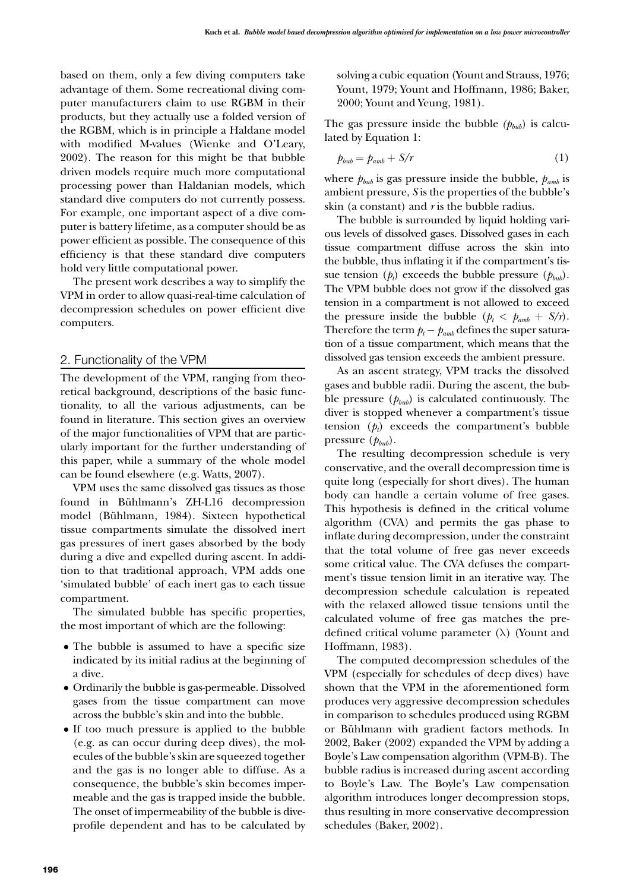based on them, only a few diving computers take advantage of them. Some recreational diving computer manufacturers claim to use RGBM in their products, but they actually use a folded version of the RGBM, which is in principle a Haldane model with modified M-values [\(Wienke and O'Leary,](#page-7-8)  [2002\)](#page-7-8). The reason for this might be that bubble driven models require much more computational processing power than Haldanian models, which standard dive computers do not currently possess. For example, one important aspect of a dive computer is battery lifetime, as a computer should be as power efficient as possible. The consequence of this efficiency is that these standard dive computers hold very little computational power.

The present work describes a way to simplify the VPM in order to allow quasi-real-time calculation of decompression schedules on power efficient dive computers.

#### 2. Functionality of the VPM

The development of the VPM, ranging from theoretical background, descriptions of the basic functionality, to all the various adjustments, can be found in literature. This section gives an overview of the major functionalities of VPM that are particularly important for the further understanding of this paper, while a summary of the whole model can be found elsewhere (e.g. [Watts, 2007](#page-7-9)).

VPM uses the same dissolved gas tissues as those found in Bühlmann's ZH-L16 decompression model [\(Bühlmann, 1984](#page-7-1)). Sixteen hypothetical tissue compartments simulate the dissolved inert gas pressures of inert gases absorbed by the body during a dive and expelled during ascent. In addition to that traditional approach, VPM adds one 'simulated bubble' of each inert gas to each tissue compartment.

The simulated bubble has specific properties, the most important of which are the following:

- The bubble is assumed to have a specific size indicated by its initial radius at the beginning of a dive.
- • Ordinarily the bubble is gas-permeable. Dissolved gases from the tissue compartment can move across the bubble's skin and into the bubble.
- If too much pressure is applied to the bubble (e.g. as can occur during deep dives), the molecules of the bubble's skin are squeezed together and the gas is no longer able to diffuse. As a consequence, the bubble's skin becomes impermeable and the gas is trapped inside the bubble. The onset of impermeability of the bubble is diveprofile dependent and has to be calculated by

solving a cubic equation [\(Yount and Strauss, 1976;](#page-7-10) [Yount, 1979;](#page-7-11) [Yount and Hoffmann, 1986](#page-7-12); [Baker,](#page-7-10) [2000](#page-7-10); [Yount and Yeung, 1981\)](#page-7-13).

The gas pressure inside the bubble  $(p_{bub})$  is calculated by Equation 1:

$$
p_{bub} = p_{amb} + S/r \tag{1}
$$

where  $p_{bub}$  is gas pressure inside the bubble,  $p_{amb}$  is ambient pressure, *S* is the properties of the bubble's skin (a constant) and *r* is the bubble radius.

The bubble is surrounded by liquid holding various levels of dissolved gases. Dissolved gases in each tissue compartment diffuse across the skin into the bubble, thus inflating it if the compartment's tissue tension  $(p_t)$  exceeds the bubble pressure  $(p_{bub})$ . The VPM bubble does not grow if the dissolved gas tension in a compartment is not allowed to exceed the pressure inside the bubble  $(p_t < p_{amb} + S/r)$ . Therefore the term  $p_t - p_{amb}$  defines the super saturation of a tissue compartment, which means that the dissolved gas tension exceeds the ambient pressure.

As an ascent strategy, VPM tracks the dissolved gases and bubble radii. During the ascent, the bubble pressure  $(p_{bub})$  is calculated continuously. The diver is stopped whenever a compartment's tissue tension  $(p_t)$  exceeds the compartment's bubble pressure  $(p_{bub})$ .

The resulting decompression schedule is very conservative, and the overall decompression time is quite long (especially for short dives). The human body can handle a certain volume of free gases. This hypothesis is defined in the critical volume algorithm (CVA) and permits the gas phase to inflate during decompression, under the constraint that the total volume of free gas never exceeds some critical value. The CVA defuses the compartment's tissue tension limit in an iterative way. The decompression schedule calculation is repeated with the relaxed allowed tissue tensions until the calculated volume of free gas matches the predefined critical volume parameter  $(\lambda)$  ([Yount and](#page-7-14) [Hoffmann, 1983\)](#page-7-14).

The computed decompression schedules of the VPM (especially for schedules of deep dives) have shown that the VPM in the aforementioned form produces very aggressive decompression schedules in comparison to schedules produced using RGBM or Bühlmann with gradient factors methods. In 2002, [Baker \(2002\)](#page-7-15) expanded the VPM by adding a Boyle's Law compensation algorithm (VPM-B). The bubble radius is increased during ascent according to Boyle's Law. The Boyle's Law compensation algorithm introduces longer decompression stops, thus resulting in more conservative decompression schedules [\(Baker, 2002](#page-7-15)).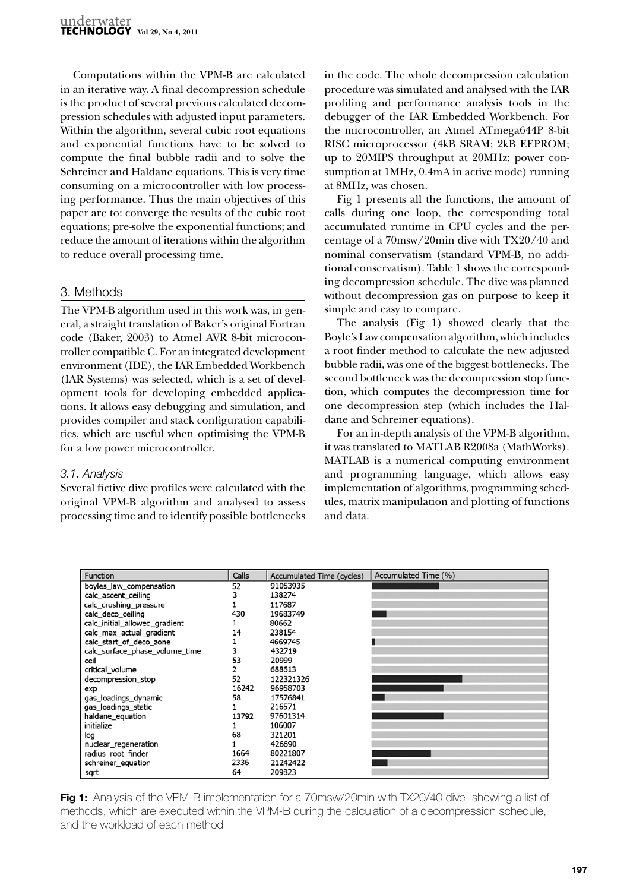Computations within the VPM-B are calculated in an iterative way. A final decompression schedule is the product of several previous calculated decompression schedules with adjusted input parameters. Within the algorithm, several cubic root equations and exponential functions have to be solved to compute the final bubble radii and to solve the Schreiner and Haldane equations. This is very time consuming on a microcontroller with low processing performance. Thus the main objectives of this paper are to: converge the results of the cubic root equations; pre-solve the exponential functions; and reduce the amount of iterations within the algorithm to reduce overall processing time.

# 3. Methods

The VPM-B algorithm used in this work was, in general, a straight translation of Baker's original Fortran code ([Baker, 2003](#page-7-16)) to Atmel AVR 8-bit microcontroller compatible C. For an integrated development environment (IDE), the IAR Embedded Workbench (IAR Systems) was selected, which is a set of development tools for developing embedded applications. It allows easy debugging and simulation, and provides compiler and stack configuration capabilities, which are useful when optimising the VPM-B for a low power microcontroller.

## *3.1. Analysis*

Several fictive dive profiles were calculated with the original VPM-B algorithm and analysed to assess processing time and to identify possible bottlenecks

in the code. The whole decompression calculation procedure was simulated and analysed with the IAR profiling and performance analysis tools in the debugger of the IAR Embedded Workbench. For the microcontroller, an Atmel ATmega644P 8-bit RISC microprocessor (4kB SRAM; 2kB EEPROM; up to 20MIPS throughput at 20MHz; power consumption at 1MHz, 0.4mA in active mode) running at 8MHz, was chosen.

[Fig 1](#page-2-0) presents all the functions, the amount of calls during one loop, the corresponding total accumulated runtime in CPU cycles and the percentage of a 70msw/20min dive with TX20/40 and nominal conservatism (standard VPM-B, no additional conservatism). [Table 1](#page-3-0) shows the corresponding decompression schedule. The dive was planned without decompression gas on purpose to keep it simple and easy to compare.

The analysis ([Fig 1](#page-2-0)) showed clearly that the Boyle's Law compensation algorithm, which includes a root finder method to calculate the new adjusted bubble radii, was one of the biggest bottlenecks. The second bottleneck was the decompression stop function, which computes the decompression time for one decompression step (which includes the Haldane and Schreiner equations).

For an in-depth analysis of the VPM-B algorithm, it was translated to MATLAB R2008a (MathWorks). MATLAB is a numerical computing environment and programming language, which allows easy implementation of algorithms, programming schedules, matrix manipulation and plotting of functions and data.

| <b>Function</b>                | Calls | Accumulated Time (cycles) | Accumulated Time (%) |
|--------------------------------|-------|---------------------------|----------------------|
| boyles_law_compensation        | 52    | 91053935                  |                      |
| calc ascent ceiling            |       | 138274                    |                      |
| calc crushing pressure         |       | 117687                    |                      |
| calc_deco_ceiling              | 430   | 19683749                  |                      |
| calc_initial_allowed_gradient  |       | 80662                     |                      |
| calc_max_actual_gradient       | 14    | 238154                    |                      |
| calc_start_of_deco_zone        |       | 4669745                   |                      |
| calc surface phase volume time | 3     | 432719                    |                      |
| ceil                           | 53    | 20999                     |                      |
| critical_volume                |       | 688613                    |                      |
| decompression stop             | 52    | 122321326                 |                      |
| exp                            | 16242 | 96958703                  |                      |
| gas_loadings_dynamic           | 58    | 17576841                  |                      |
| gas loadings static            |       | 216571                    |                      |
| haldane equation               | 13792 | 97601314                  |                      |
| initialize                     |       | 106007                    |                      |
| log                            | 68    | 321201                    |                      |
| nuclear_regeneration           |       | 426690                    |                      |
| radius_root_finder             | 1664  | 80221807                  |                      |
| schreiner_equation             | 2336  | 21242422                  |                      |
| sqrt                           | 64    | 209823                    |                      |

<span id="page-2-0"></span>**Fig 1:** Analysis of the VPM-B implementation for a 70msw/20min with TX20/40 dive, showing a list of methods, which are executed within the VPM-B during the calculation of a decompression schedule, and the workload of each method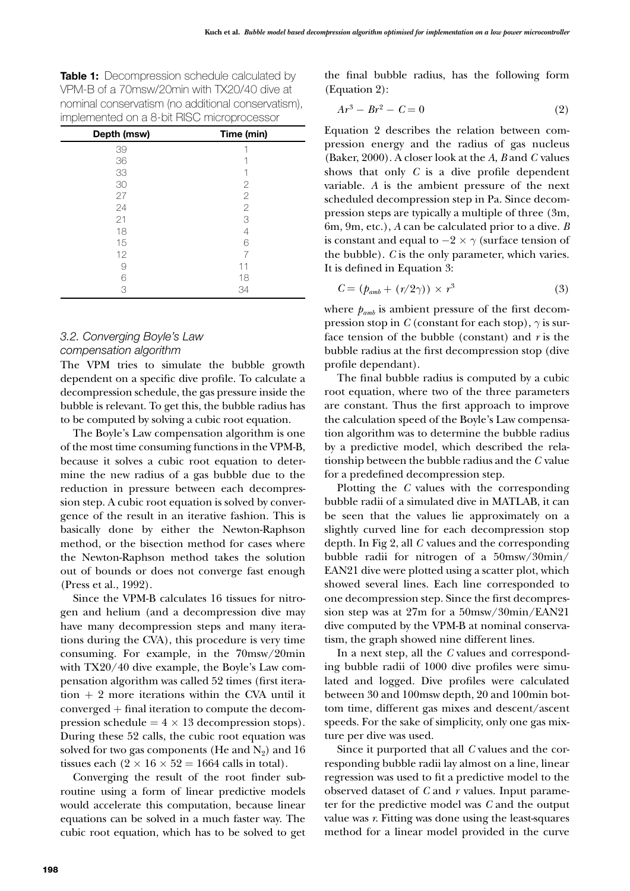<span id="page-3-0"></span>**Table 1:** Decompression schedule calculated by VPM-B of a 70msw/20min with TX20/40 dive at nominal conservatism (no additional conservatism), implemented on a 8-bit RISC microprocessor

| Depth (msw) | Time (min) |
|-------------|------------|
| 39          |            |
| 36          |            |
| 33          |            |
| 30          | 2          |
| 27          | 2          |
| 24          | 2          |
| 21          | 3          |
| 18          | 4          |
| 15          | 6          |
| 12          |            |
| 9           | 11         |
| 6           | 18         |
| 3           | 34         |

# *3.2. Converging Boyle's Law compensation algorithm*

The VPM tries to simulate the bubble growth dependent on a specific dive profile. To calculate a decompression schedule, the gas pressure inside the bubble is relevant. To get this, the bubble radius has to be computed by solving a cubic root equation.

The Boyle's Law compensation algorithm is one of the most time consuming functions in the VPM-B, because it solves a cubic root equation to determine the new radius of a gas bubble due to the reduction in pressure between each decompression step. A cubic root equation is solved by convergence of the result in an iterative fashion. This is basically done by either the Newton-Raphson method, or the bisection method for cases where the Newton-Raphson method takes the solution out of bounds or does not converge fast enough ([Press et al., 1992\)](#page-7-17).

Since the VPM-B calculates 16 tissues for nitrogen and helium (and a decompression dive may have many decompression steps and many iterations during the CVA), this procedure is very time consuming. For example, in the 70msw/20min with TX20/40 dive example, the Boyle's Law compensation algorithm was called 52 times (first itera- $\tau$  tion  $+2$  more iterations within the CVA until it converged + final iteration to compute the decompression schedule =  $4 \times 13$  decompression stops). During these 52 calls, the cubic root equation was solved for two gas components (He and  $N_2$ ) and 16 tissues each  $(2 \times 16 \times 52 = 1664$  calls in total).

Converging the result of the root finder subroutine using a form of linear predictive models would accelerate this computation, because linear equations can be solved in a much faster way. The cubic root equation, which has to be solved to get

the final bubble radius, has the following form (Equation 2):

$$
Ar^3 - Br^2 - C = 0 \tag{2}
$$

Equation 2 describes the relation between compression energy and the radius of gas nucleus [\(Baker, 2000](#page-7-10)). A closer look at the *A*, *B* and *C* values shows that only *C* is a dive profile dependent variable. *A* is the ambient pressure of the next scheduled decompression step in Pa. Since decompression steps are typically a multiple of three (3m, 6m, 9m, etc.), *A* can be calculated prior to a dive. *B* is constant and equal to  $-2 \times \gamma$  (surface tension of the bubble). *C* is the only parameter, which varies. It is defined in Equation 3:

$$
C = (p_{amb} + (r/2\gamma)) \times r^3 \tag{3}
$$

where  $p_{amb}$  is ambient pressure of the first decompression stop in *C* (constant for each stop),  $\gamma$  is surface tension of the bubble (constant) and *r* is the bubble radius at the first decompression stop (dive profile dependant).

The final bubble radius is computed by a cubic root equation, where two of the three parameters are constant. Thus the first approach to improve the calculation speed of the Boyle's Law compensation algorithm was to determine the bubble radius by a predictive model, which described the relationship between the bubble radius and the *C* value for a predefined decompression step.

Plotting the *C* values with the corresponding bubble radii of a simulated dive in MATLAB, it can be seen that the values lie approximately on a slightly curved line for each decompression stop depth. In [Fig 2,](#page-4-0) all *C* values and the corresponding bubble radii for nitrogen of a 50msw/30min/ EAN21 dive were plotted using a scatter plot, which showed several lines. Each line corresponded to one decompression step. Since the first decompression step was at 27m for a 50msw/30min/EAN21 dive computed by the VPM-B at nominal conservatism, the graph showed nine different lines.

In a next step, all the *C* values and corresponding bubble radii of 1000 dive profiles were simulated and logged. Dive profiles were calculated between 30 and 100msw depth, 20 and 100min bottom time, different gas mixes and descent/ascent speeds. For the sake of simplicity, only one gas mixture per dive was used.

Since it purported that all *C* values and the corresponding bubble radii lay almost on a line, linear regression was used to fit a predictive model to the observed dataset of *C* and *r* values. Input parameter for the predictive model was *C* and the output value was *r*. Fitting was done using the least-squares method for a linear model provided in the curve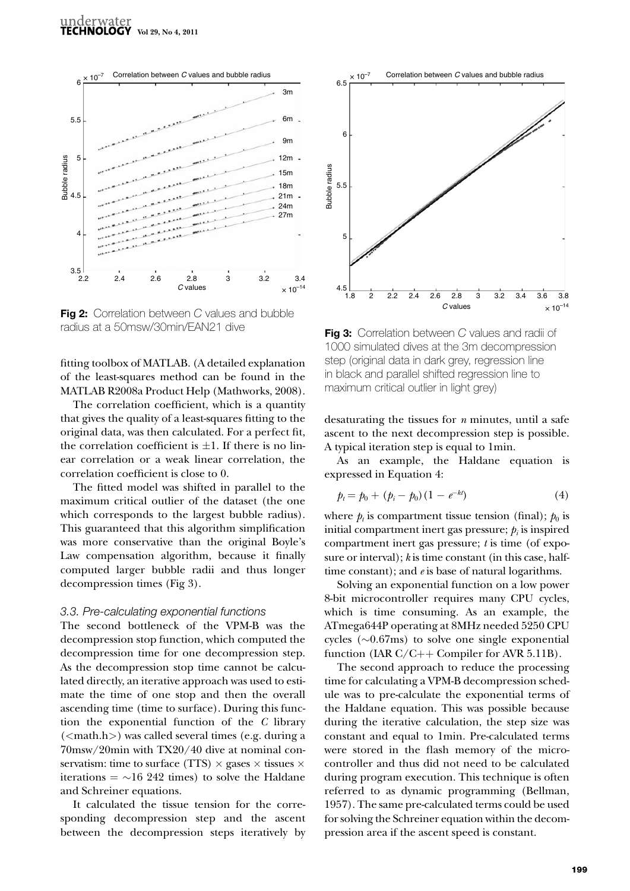

<span id="page-4-0"></span>**Fig 2:** Correlation between *C* values and bubble radius at a 50msw/30min/EAN21 dive

fitting toolbox of MATLAB. (A detailed explanation of the least-squares method can be found in the MATLAB R2008a Product Help [\(Mathworks, 2008](#page-7-18)).

The correlation coefficient, which is a quantity that gives the quality of a least-squares fitting to the original data, was then calculated. For a perfect fit, the correlation coefficient is  $\pm 1$ . If there is no linear correlation or a weak linear correlation, the correlation coefficient is close to 0.

The fitted model was shifted in parallel to the maximum critical outlier of the dataset (the one which corresponds to the largest bubble radius). This guaranteed that this algorithm simplification was more conservative than the original Boyle's Law compensation algorithm, because it finally computed larger bubble radii and thus longer decompression times ([Fig 3](#page-4-1)).

#### *3.3. Pre-calculating exponential functions*

The second bottleneck of the VPM-B was the decompression stop function, which computed the decompression time for one decompression step. As the decompression stop time cannot be calculated directly, an iterative approach was used to estimate the time of one stop and then the overall ascending time (time to surface). During this function the exponential function of the *C* library  $( $m$ ath.h>), was called several times (e.g., during a$ 70msw/20min with TX20/40 dive at nominal conservatism: time to surface (TTS)  $\times$  gases  $\times$  tissues  $\times$ iterations  $= \sim 16$  242 times) to solve the Haldane and Schreiner equations.

It calculated the tissue tension for the corresponding decompression step and the ascent between the decompression steps iteratively by



<span id="page-4-1"></span>**Fig 3:** Correlation between *C* values and radii of 1000 simulated dives at the 3m decompression step (original data in dark grey, regression line in black and parallel shifted regression line to maximum critical outlier in light grey)

desaturating the tissues for *n* minutes, until a safe ascent to the next decompression step is possible. A typical iteration step is equal to 1min.

As an example, the Haldane equation is expressed in Equation 4:

$$
p_t = p_0 + (p_i - p_0)(1 - e^{-kt})
$$
\n(4)

where  $p_t$  is compartment tissue tension (final);  $p_0$  is initial compartment inert gas pressure;  $p_i$  is inspired compartment inert gas pressure; *t* is time (of exposure or interval); *k* is time constant (in this case, halftime constant); and *e* is base of natural logarithms.

Solving an exponential function on a low power 8-bit microcontroller requires many CPU cycles, which is time consuming. As an example, the ATmega644P operating at 8MHz needed 5250 CPU cycles ( $\sim 0.67$ ms) to solve one single exponential function (IAR C/C++ Compiler for AVR 5.11B).

The second approach to reduce the processing time for calculating a VPM-B decompression schedule was to pre-calculate the exponential terms of the Haldane equation. This was possible because during the iterative calculation, the step size was constant and equal to 1min. Pre-calculated terms were stored in the flash memory of the microcontroller and thus did not need to be calculated during program execution. This technique is often referred to as dynamic programming [\(Bellman,](#page-7-19) [1957](#page-7-19)). The same pre-calculated terms could be used for solving the Schreiner equation within the decompression area if the ascent speed is constant.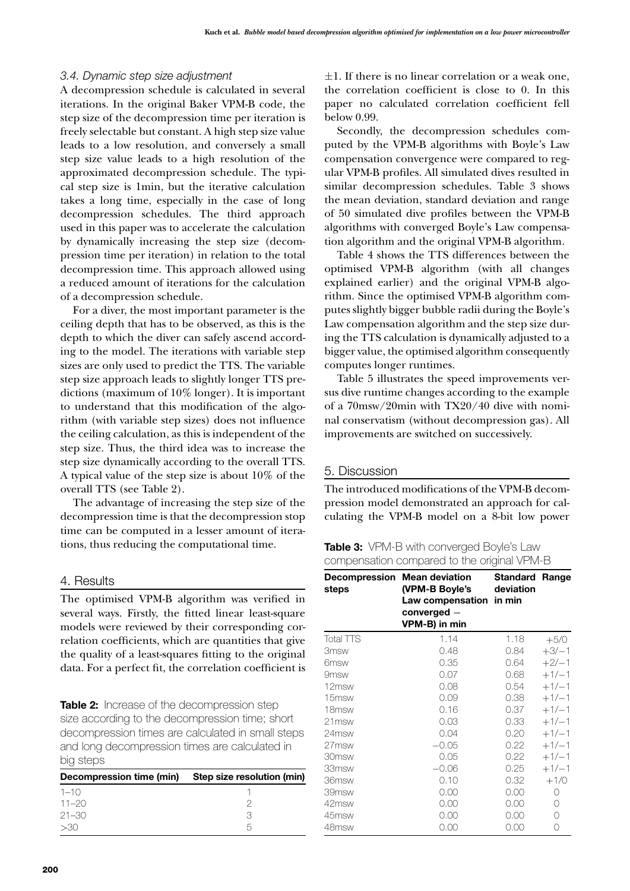## *3.4. Dynamic step size adjustment*

A decompression schedule is calculated in several iterations. In the original Baker VPM-B code, the step size of the decompression time per iteration is freely selectable but constant. A high step size value leads to a low resolution, and conversely a small step size value leads to a high resolution of the approximated decompression schedule. The typical step size is 1min, but the iterative calculation takes a long time, especially in the case of long decompression schedules. The third approach used in this paper was to accelerate the calculation by dynamically increasing the step size (decompression time per iteration) in relation to the total decompression time. This approach allowed using a reduced amount of iterations for the calculation of a decompression schedule.

For a diver, the most important parameter is the ceiling depth that has to be observed, as this is the depth to which the diver can safely ascend according to the model. The iterations with variable step sizes are only used to predict the TTS. The variable step size approach leads to slightly longer TTS predictions (maximum of 10% longer). It is important to understand that this modification of the algorithm (with variable step sizes) does not influence the ceiling calculation, as this is independent of the step size. Thus, the third idea was to increase the step size dynamically according to the overall TTS. A typical value of the step size is about 10% of the overall TTS (see [Table 2](#page-5-0)).

The advantage of increasing the step size of the decompression time is that the decompression stop time can be computed in a lesser amount of iterations, thus reducing the computational time.

### 4. Results

The optimised VPM-B algorithm was verified in several ways. Firstly, the fitted linear least-square models were reviewed by their corresponding correlation coefficients, which are quantities that give the quality of a least-squares fitting to the original data. For a perfect fit, the correlation coefficient is

<span id="page-5-0"></span>**Table 2:** Increase of the decompression step size according to the decompression time; short decompression times are calculated in small steps and long decompression times are calculated in big steps

| Decompression time (min) | Step size resolution (min) |
|--------------------------|----------------------------|
| $1 - 10$                 |                            |
| $11 - 20$                |                            |
| $21 - 30$                |                            |
| -30                      |                            |

 $\pm 1$ . If there is no linear correlation or a weak one, the correlation coefficient is close to 0. In this paper no calculated correlation coefficient fell below 0.99.

Secondly, the decompression schedules computed by the VPM-B algorithms with Boyle's Law compensation convergence were compared to regular VPM-B profiles. All simulated dives resulted in similar decompression schedules. [Table 3](#page-5-1) shows the mean deviation, standard deviation and range of 50 simulated dive profiles between the VPM-B algorithms with converged Boyle's Law compensation algorithm and the original VPM-B algorithm.

[Table 4](#page-6-0) shows the TTS differences between the optimised VPM-B algorithm (with all changes explained earlier) and the original VPM-B algorithm. Since the optimised VPM-B algorithm computes slightly bigger bubble radii during the Boyle's Law compensation algorithm and the step size during the TTS calculation is dynamically adjusted to a bigger value, the optimised algorithm consequently computes longer runtimes.

[Table 5](#page-6-1) illustrates the speed improvements versus dive runtime changes according to the example of a 70msw/20min with TX20/40 dive with nominal conservatism (without decompression gas). All improvements are switched on successively.

## 5. Discussion

The introduced modifications of the VPM-B decompression model demonstrated an approach for calculating the VPM-B model on a 8-bit low power

<span id="page-5-1"></span>**Table 3:** VPM-B with converged Boyle's Law compensation compared to the original VPM-B

| <b>Decompression</b><br>steps | <b>Mean deviation</b><br>(VPM-B Boyle's<br>Law compensation<br>$converged -$<br>VPM-B) in min | Standard<br>deviation<br>in min | Range   |
|-------------------------------|-----------------------------------------------------------------------------------------------|---------------------------------|---------|
| <b>Total TTS</b>              | 1.14                                                                                          | 1.18                            | $+5/0$  |
| 3msw                          | 0.48                                                                                          | 0.84                            | $+3/-1$ |
| 6msw                          | 0.35                                                                                          | 0.64                            | $+2/-1$ |
| 9msw                          | 0.07                                                                                          | 0.68                            | $+1/-1$ |
| 12msw                         | 0.08                                                                                          | 0.54                            | $+1/-1$ |
| 15msw                         | 0.09                                                                                          | 0.38                            | $+1/-1$ |
| 18msw                         | 0.16                                                                                          | 0.37                            | $+1/-1$ |
| 21msw                         | 0.03                                                                                          | 0.33                            | $+1/-1$ |
| 24msw                         | 0.04                                                                                          | 0.20                            | $+1/-1$ |
| 27msw                         | $-0.05$                                                                                       | 0.22                            | $+1/-1$ |
| 30msw                         | 0.05                                                                                          | 0.22                            | $+1/-1$ |
| 33msw                         | $-0.06$                                                                                       | 0.25                            | $+1/-1$ |
| 36msw                         | 0.10                                                                                          | 0.32                            | $+1/0$  |
| 39msw                         | 0.00                                                                                          | 0.00                            | Ω       |
| 42msw                         | 0.00                                                                                          | 0.00                            | 0       |
| 45msw                         | 0.00                                                                                          | 0.00                            | 0       |
| 48msw                         | 0.00                                                                                          | 0.00                            | 0       |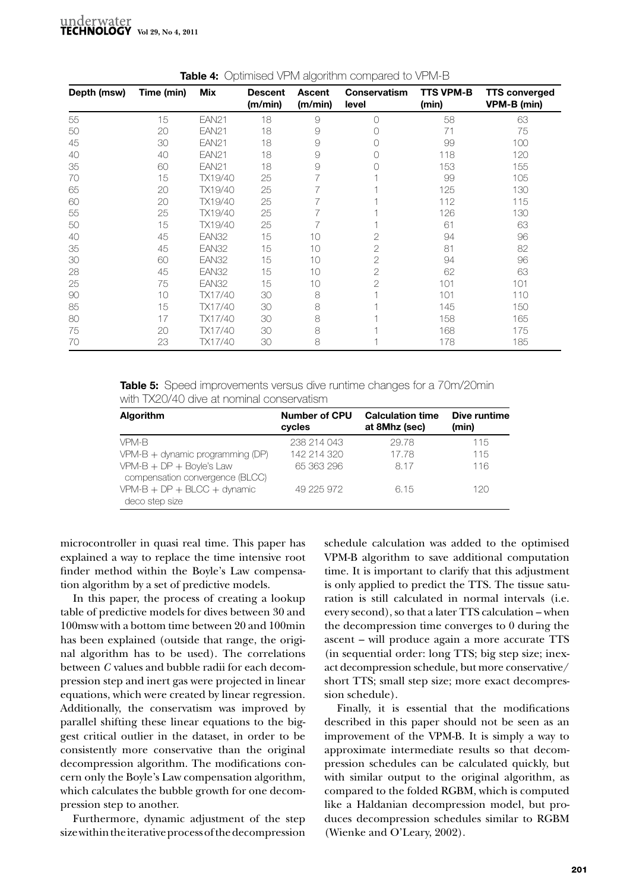| Depth (msw) | Time (min) | Mix          | <b>Descent</b><br>(m/min) | <b>Ascent</b><br>(m/min) | Conservatism<br>level | <b>TTS VPM-B</b><br>(min) | <b>TTS converged</b><br>VPM-B (min) |
|-------------|------------|--------------|---------------------------|--------------------------|-----------------------|---------------------------|-------------------------------------|
| 55          | 15         | <b>EAN21</b> | 18                        | 9                        | $\bigcirc$            | 58                        | 63                                  |
| 50          | 20         | <b>EAN21</b> | 18                        | 9                        | Ω                     | 71                        | 75                                  |
| 45          | 30         | <b>EAN21</b> | 18                        | 9                        |                       | 99                        | 100                                 |
| 40          | 40         | <b>EAN21</b> | 18                        | 9                        |                       | 118                       | 120                                 |
| 35          | 60         | <b>EAN21</b> | 18                        | 9                        |                       | 153                       | 155                                 |
| 70          | 15         | TX19/40      | 25                        | 7                        |                       | 99                        | 105                                 |
| 65          | 20         | TX19/40      | 25                        |                          |                       | 125                       | 130                                 |
| 60          | 20         | TX19/40      | 25                        |                          |                       | 112                       | 115                                 |
| 55          | 25         | TX19/40      | 25                        |                          |                       | 126                       | 130                                 |
| 50          | 15         | TX19/40      | 25                        |                          |                       | 61                        | 63                                  |
| 40          | 45         | EAN32        | 15                        | 10                       | 2                     | 94                        | 96                                  |
| 35          | 45         | EAN32        | 15                        | 10                       | 2                     | 81                        | 82                                  |
| 30          | 60         | EAN32        | 15                        | 10                       | 2                     | 94                        | 96                                  |
| 28          | 45         | EAN32        | 15                        | 10                       | 2                     | 62                        | 63                                  |
| 25          | 75         | EAN32        | 15                        | 10                       | 2                     | 101                       | 101                                 |
| 90          | 10         | TX17/40      | 30                        | 8                        |                       | 101                       | 110                                 |
| 85          | 15         | TX17/40      | 30                        | 8                        |                       | 145                       | 150                                 |
| 80          | 17         | TX17/40      | 30                        | 8                        |                       | 158                       | 165                                 |
| 75          | 20         | TX17/40      | 30                        | 8                        |                       | 168                       | 175                                 |
| 70          | 23         | TX17/40      | 30                        | 8                        |                       | 178                       | 185                                 |

<span id="page-6-0"></span>**Table 4:** Optimised VPM algorithm compared to VPM-B

<span id="page-6-1"></span>**Table 5:** Speed improvements versus dive runtime changes for a 70m/20min with TX20/40 dive at nominal conservatism

| <b>Algorithm</b>                                                                   | <b>Number of CPU</b><br>cycles | <b>Calculation time</b><br>at 8Mhz (sec) | Dive runtime<br>(min) |
|------------------------------------------------------------------------------------|--------------------------------|------------------------------------------|-----------------------|
| VPM-B                                                                              | 238 214 043                    | 29.78                                    | 115                   |
| $VPM-B +$ dynamic programming (DP)                                                 | 142 214 320                    | 17.78                                    | 115                   |
| $VPM-B + DP + Boyle's Law$                                                         | 65 363 296                     | 8.17                                     | 116                   |
| compensation convergence (BLCC)<br>$VPM-B + DP + BLOC + dynamic$<br>deco step size | 49 225 972                     | 6.15                                     | 120                   |

microcontroller in quasi real time. This paper has explained a way to replace the time intensive root finder method within the Boyle's Law compensation algorithm by a set of predictive models.

In this paper, the process of creating a lookup table of predictive models for dives between 30 and 100msw with a bottom time between 20 and 100min has been explained (outside that range, the original algorithm has to be used). The correlations between *C* values and bubble radii for each decompression step and inert gas were projected in linear equations, which were created by linear regression. Additionally, the conservatism was improved by parallel shifting these linear equations to the biggest critical outlier in the dataset, in order to be consistently more conservative than the original decompression algorithm. The modifications concern only the Boyle's Law compensation algorithm, which calculates the bubble growth for one decompression step to another.

Furthermore, dynamic adjustment of the step size within the iterative process of the decompression

schedule calculation was added to the optimised VPM-B algorithm to save additional computation time. It is important to clarify that this adjustment is only applied to predict the TTS. The tissue saturation is still calculated in normal intervals (i.e. every second), so that a later TTS calculation – when the decompression time converges to 0 during the ascent – will produce again a more accurate TTS (in sequential order: long TTS; big step size; inexact decompression schedule, but more conservative/ short TTS; small step size; more exact decompression schedule).

Finally, it is essential that the modifications described in this paper should not be seen as an improvement of the VPM-B. It is simply a way to approximate intermediate results so that decompression schedules can be calculated quickly, but with similar output to the original algorithm, as compared to the folded RGBM, which is computed like a Haldanian decompression model, but produces decompression schedules similar to RGBM [\(Wienke and O'Leary, 2002\)](#page-7-8).